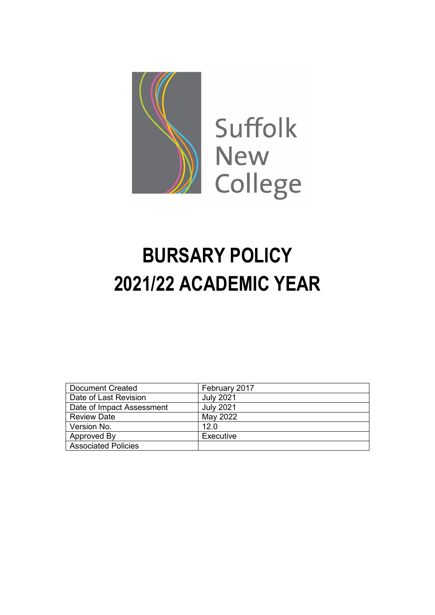

# **BURSARY POLICY 2021/22 ACADEMIC YEAR**

| <b>Document Created</b>    | February 2017    |
|----------------------------|------------------|
| Date of Last Revision      | <b>July 2021</b> |
| Date of Impact Assessment  | <b>July 2021</b> |
| <b>Review Date</b>         | May 2022         |
| Version No.                | 12.0             |
| Approved By                | Executive        |
| <b>Associated Policies</b> |                  |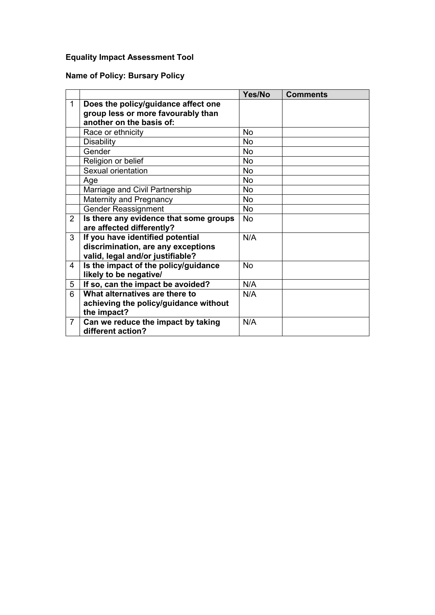# **Equality Impact Assessment Tool**

## **Name of Policy: Bursary Policy**

|                |                                        | Yes/No    | <b>Comments</b> |
|----------------|----------------------------------------|-----------|-----------------|
| $\mathbf{1}$   | Does the policy/guidance affect one    |           |                 |
|                | group less or more favourably than     |           |                 |
|                | another on the basis of:               |           |                 |
|                | Race or ethnicity                      | <b>No</b> |                 |
|                | <b>Disability</b>                      | <b>No</b> |                 |
|                | Gender                                 | <b>No</b> |                 |
|                | Religion or belief                     | <b>No</b> |                 |
|                | Sexual orientation                     | <b>No</b> |                 |
|                | Age                                    | No        |                 |
|                | Marriage and Civil Partnership         | No        |                 |
|                | <b>Maternity and Pregnancy</b>         | <b>No</b> |                 |
|                | <b>Gender Reassignment</b>             | <b>No</b> |                 |
| $\overline{2}$ | Is there any evidence that some groups | <b>No</b> |                 |
|                | are affected differently?              |           |                 |
| 3              | If you have identified potential       | N/A       |                 |
|                | discrimination, are any exceptions     |           |                 |
|                | valid, legal and/or justifiable?       |           |                 |
| 4              | Is the impact of the policy/guidance   | <b>No</b> |                 |
|                | likely to be negative/                 |           |                 |
| 5              | If so, can the impact be avoided?      | N/A       |                 |
| 6              | What alternatives are there to         | N/A       |                 |
|                | achieving the policy/guidance without  |           |                 |
|                | the impact?                            |           |                 |
| $\overline{7}$ | Can we reduce the impact by taking     | N/A       |                 |
|                | different action?                      |           |                 |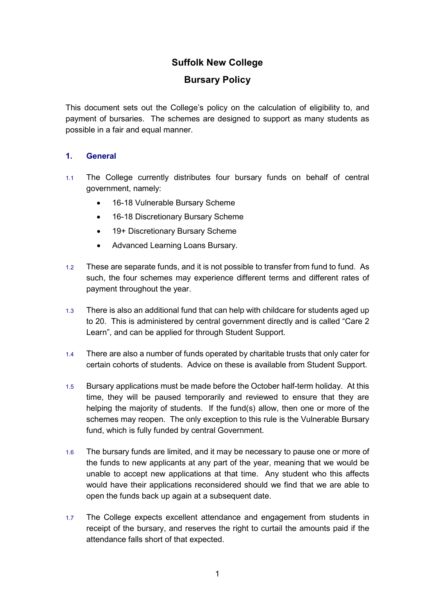## **Suffolk New College**

## **Bursary Policy**

This document sets out the College's policy on the calculation of eligibility to, and payment of bursaries. The schemes are designed to support as many students as possible in a fair and equal manner.

#### **1. General**

- 1.1 The College currently distributes four bursary funds on behalf of central government, namely:
	- 16-18 Vulnerable Bursary Scheme
	- 16-18 Discretionary Bursary Scheme
	- 19+ Discretionary Bursary Scheme
	- Advanced Learning Loans Bursary.
- 1.2 These are separate funds, and it is not possible to transfer from fund to fund. As such, the four schemes may experience different terms and different rates of payment throughout the year.
- 1.3 There is also an additional fund that can help with childcare for students aged up to 20. This is administered by central government directly and is called "Care 2 Learn", and can be applied for through Student Support.
- 1.4 There are also a number of funds operated by charitable trusts that only cater for certain cohorts of students. Advice on these is available from Student Support.
- 1.5 Bursary applications must be made before the October half-term holiday. At this time, they will be paused temporarily and reviewed to ensure that they are helping the majority of students. If the fund(s) allow, then one or more of the schemes may reopen. The only exception to this rule is the Vulnerable Bursary fund, which is fully funded by central Government.
- 1.6 The bursary funds are limited, and it may be necessary to pause one or more of the funds to new applicants at any part of the year, meaning that we would be unable to accept new applications at that time. Any student who this affects would have their applications reconsidered should we find that we are able to open the funds back up again at a subsequent date.
- 1.7 The College expects excellent attendance and engagement from students in receipt of the bursary, and reserves the right to curtail the amounts paid if the attendance falls short of that expected.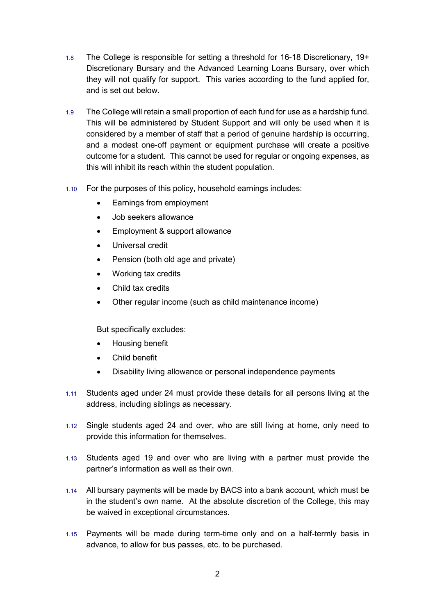- 1.8 The College is responsible for setting a threshold for 16-18 Discretionary, 19+ Discretionary Bursary and the Advanced Learning Loans Bursary, over which they will not qualify for support. This varies according to the fund applied for, and is set out below.
- 1.9 The College will retain a small proportion of each fund for use as a hardship fund. This will be administered by Student Support and will only be used when it is considered by a member of staff that a period of genuine hardship is occurring, and a modest one-off payment or equipment purchase will create a positive outcome for a student. This cannot be used for regular or ongoing expenses, as this will inhibit its reach within the student population.
- 1.10 For the purposes of this policy, household earnings includes:
	- Earnings from employment
	- Job seekers allowance
	- Employment & support allowance
	- Universal credit
	- Pension (both old age and private)
	- Working tax credits
	- Child tax credits
	- Other regular income (such as child maintenance income)

But specifically excludes:

- Housing benefit
- Child benefit
- Disability living allowance or personal independence payments
- 1.11 Students aged under 24 must provide these details for all persons living at the address, including siblings as necessary.
- 1.12 Single students aged 24 and over, who are still living at home, only need to provide this information for themselves.
- 1.13 Students aged 19 and over who are living with a partner must provide the partner's information as well as their own.
- 1.14 All bursary payments will be made by BACS into a bank account, which must be in the student's own name. At the absolute discretion of the College, this may be waived in exceptional circumstances.
- 1.15 Payments will be made during term-time only and on a half-termly basis in advance, to allow for bus passes, etc. to be purchased.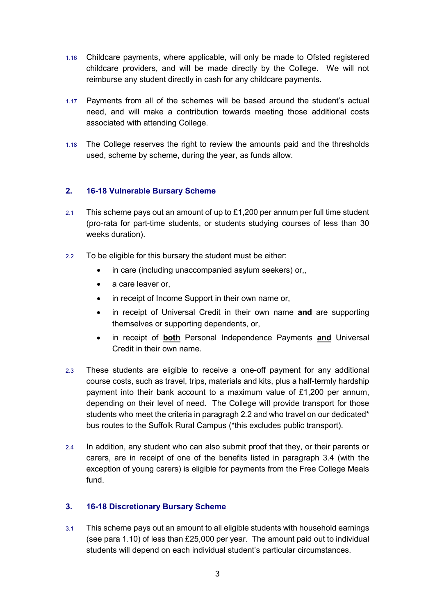- 1.16 Childcare payments, where applicable, will only be made to Ofsted registered childcare providers, and will be made directly by the College. We will not reimburse any student directly in cash for any childcare payments.
- 1.17 Payments from all of the schemes will be based around the student's actual need, and will make a contribution towards meeting those additional costs associated with attending College.
- 1.18 The College reserves the right to review the amounts paid and the thresholds used, scheme by scheme, during the year, as funds allow.

#### **2. 16-18 Vulnerable Bursary Scheme**

- 2.1 This scheme pays out an amount of up to  $£1,200$  per annum per full time student (pro-rata for part-time students, or students studying courses of less than 30 weeks duration).
- 2.2 To be eligible for this bursary the student must be either:
	- in care (including unaccompanied asylum seekers) or,
	- a care leaver or,
	- in receipt of Income Support in their own name or,
	- in receipt of Universal Credit in their own name **and** are supporting themselves or supporting dependents, or,
	- in receipt of **both** Personal Independence Payments **and** Universal Credit in their own name.
- 2.3 These students are eligible to receive a one-off payment for any additional course costs, such as travel, trips, materials and kits, plus a half-termly hardship payment into their bank account to a maximum value of £1,200 per annum, depending on their level of need. The College will provide transport for those students who meet the criteria in paragragh 2.2 and who travel on our dedicated\* bus routes to the Suffolk Rural Campus (\*this excludes public transport).
- 2.4 In addition, any student who can also submit proof that they, or their parents or carers, are in receipt of one of the benefits listed in paragraph 3.4 (with the exception of young carers) is eligible for payments from the Free College Meals fund.

#### **3. 16-18 Discretionary Bursary Scheme**

3.1 This scheme pays out an amount to all eligible students with household earnings (see para 1.10) of less than £25,000 per year. The amount paid out to individual students will depend on each individual student's particular circumstances.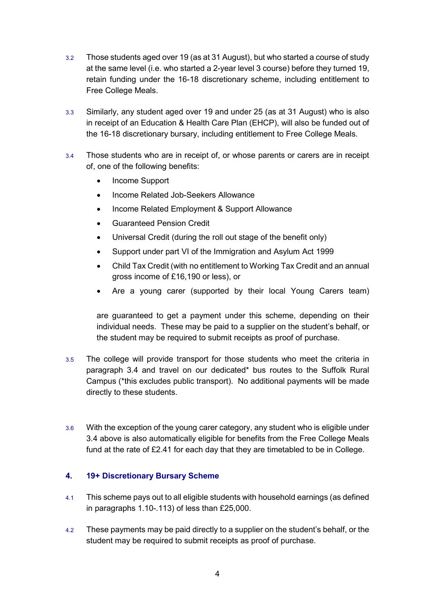- 3.2 Those students aged over 19 (as at 31 August), but who started a course of study at the same level (i.e. who started a 2-year level 3 course) before they turned 19, retain funding under the 16-18 discretionary scheme, including entitlement to Free College Meals.
- 3.3 Similarly, any student aged over 19 and under 25 (as at 31 August) who is also in receipt of an Education & Health Care Plan (EHCP), will also be funded out of the 16-18 discretionary bursary, including entitlement to Free College Meals.
- 3.4 Those students who are in receipt of, or whose parents or carers are in receipt of, one of the following benefits:
	- Income Support
	- Income Related Job-Seekers Allowance
	- Income Related Employment & Support Allowance
	- Guaranteed Pension Credit
	- Universal Credit (during the roll out stage of the benefit only)
	- Support under part VI of the Immigration and Asylum Act 1999
	- Child Tax Credit (with no entitlement to Working Tax Credit and an annual gross income of £16,190 or less), or
	- Are a young carer (supported by their local Young Carers team)

are guaranteed to get a payment under this scheme, depending on their individual needs. These may be paid to a supplier on the student's behalf, or the student may be required to submit receipts as proof of purchase.

- 3.5 The college will provide transport for those students who meet the criteria in paragraph 3.4 and travel on our dedicated\* bus routes to the Suffolk Rural Campus (\*this excludes public transport). No additional payments will be made directly to these students.
- 3.6 With the exception of the young carer category, any student who is eligible under 3.4 above is also automatically eligible for benefits from the Free College Meals fund at the rate of £2.41 for each day that they are timetabled to be in College.

#### **4. 19+ Discretionary Bursary Scheme**

- 4.1 This scheme pays out to all eligible students with household earnings (as defined in paragraphs 1.10-.113) of less than £25,000.
- 4.2 These payments may be paid directly to a supplier on the student's behalf, or the student may be required to submit receipts as proof of purchase.